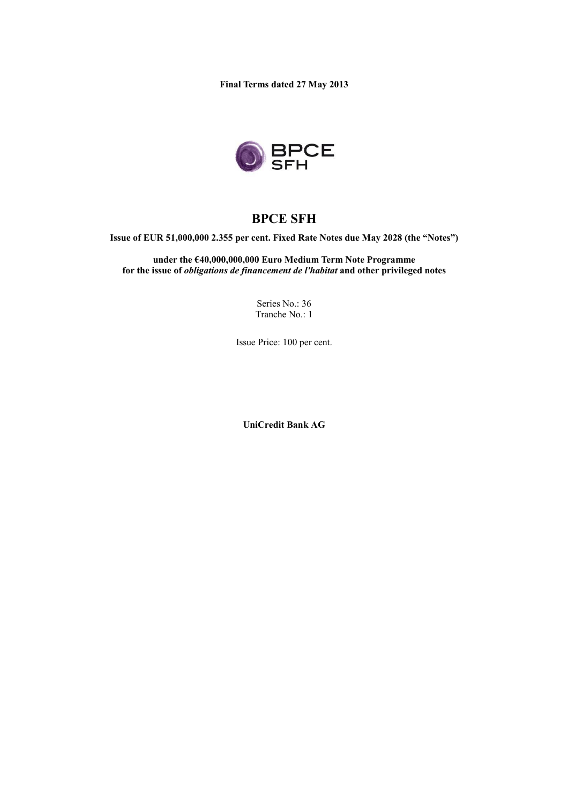**Final Terms dated 27 May 2013**



# **BPCE SFH**

**Issue of EUR 51,000,000 2.355 per cent. Fixed Rate Notes due May 2028 (the "Notes")**

**under the €40,000,000,000 Euro Medium Term Note Programme for the issue of** *obligations de financement de l'habitat* **and other privileged notes**

> Series No.: 36 Tranche No.: 1

Issue Price: 100 per cent.

**UniCredit Bank AG**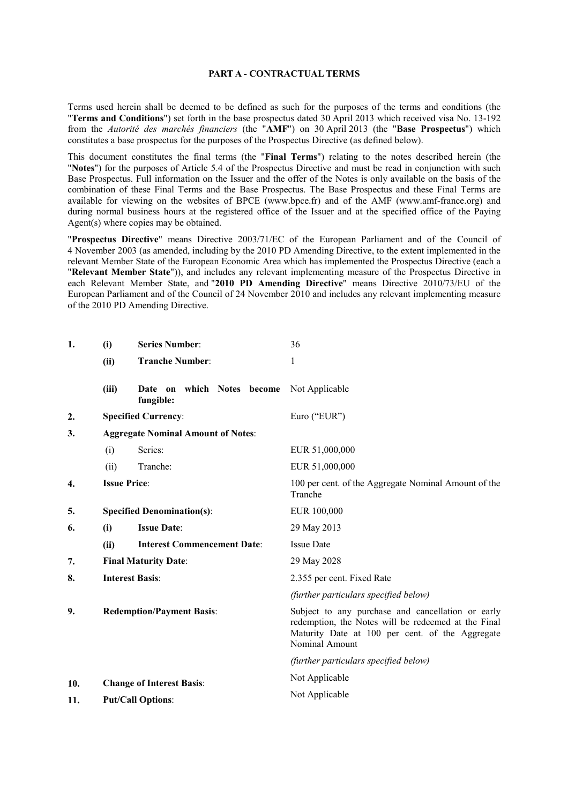#### **PART A - CONTRACTUAL TERMS**

Terms used herein shall be deemed to be defined as such for the purposes of the terms and conditions (the "**Terms and Conditions**") set forth in the base prospectus dated 30 April 2013 which received visa No. 13-192 from the *Autorité des marchés financiers* (the "**AMF**") on 30 April 2013 (the "**Base Prospectus**") which constitutes a base prospectus for the purposes of the Prospectus Directive (as defined below).

This document constitutes the final terms (the "**Final Terms**") relating to the notes described herein (the "**Notes**") for the purposes of Article 5.4 of the Prospectus Directive and must be read in conjunction with such Base Prospectus. Full information on the Issuer and the offer of the Notes is only available on the basis of the combination of these Final Terms and the Base Prospectus. The Base Prospectus and these Final Terms are available for viewing on the websites of BPCE (www.bpce.fr) and of the AMF (www.amf-france.org) and during normal business hours at the registered office of the Issuer and at the specified office of the Paying Agent(s) where copies may be obtained.

"**Prospectus Directive**" means Directive 2003/71/EC of the European Parliament and of the Council of 4 November 2003 (as amended, including by the 2010 PD Amending Directive, to the extent implemented in the relevant Member State of the European Economic Area which has implemented the Prospectus Directive (each a "**Relevant Member State**")), and includes any relevant implementing measure of the Prospectus Directive in each Relevant Member State, and "**2010 PD Amending Directive**" means Directive 2010/73/EU of the European Parliament and of the Council of 24 November 2010 and includes any relevant implementing measure of the 2010 PD Amending Directive.

| 1.  | (i)                                       | <b>Series Number:</b>                      | 36                                                                                                                                                                            |
|-----|-------------------------------------------|--------------------------------------------|-------------------------------------------------------------------------------------------------------------------------------------------------------------------------------|
|     | (ii)                                      | <b>Tranche Number:</b>                     | 1                                                                                                                                                                             |
|     | (iii)                                     | which Notes become<br>Date on<br>fungible: | Not Applicable                                                                                                                                                                |
| 2.  |                                           | <b>Specified Currency:</b>                 | Euro ("EUR")                                                                                                                                                                  |
| 3.  | <b>Aggregate Nominal Amount of Notes:</b> |                                            |                                                                                                                                                                               |
|     | (i)                                       | Series:                                    | EUR 51,000,000                                                                                                                                                                |
|     | (ii)                                      | Tranche:                                   | EUR 51,000,000                                                                                                                                                                |
| 4.  | <b>Issue Price:</b>                       |                                            | 100 per cent. of the Aggregate Nominal Amount of the<br>Tranche                                                                                                               |
| 5.  | <b>Specified Denomination(s):</b>         |                                            | EUR 100,000                                                                                                                                                                   |
| 6.  | (i)                                       | <b>Issue Date:</b>                         | 29 May 2013                                                                                                                                                                   |
|     | (ii)                                      | <b>Interest Commencement Date:</b>         | <b>Issue Date</b>                                                                                                                                                             |
| 7.  |                                           | <b>Final Maturity Date:</b>                | 29 May 2028                                                                                                                                                                   |
| 8.  | <b>Interest Basis:</b>                    |                                            | 2.355 per cent. Fixed Rate                                                                                                                                                    |
|     |                                           |                                            | (further particulars specified below)                                                                                                                                         |
| 9.  | <b>Redemption/Payment Basis:</b>          |                                            | Subject to any purchase and cancellation or early<br>redemption, the Notes will be redeemed at the Final<br>Maturity Date at 100 per cent. of the Aggregate<br>Nominal Amount |
|     |                                           |                                            | (further particulars specified below)                                                                                                                                         |
| 10. |                                           | <b>Change of Interest Basis:</b>           | Not Applicable                                                                                                                                                                |
| 11. | <b>Put/Call Options:</b>                  |                                            | Not Applicable                                                                                                                                                                |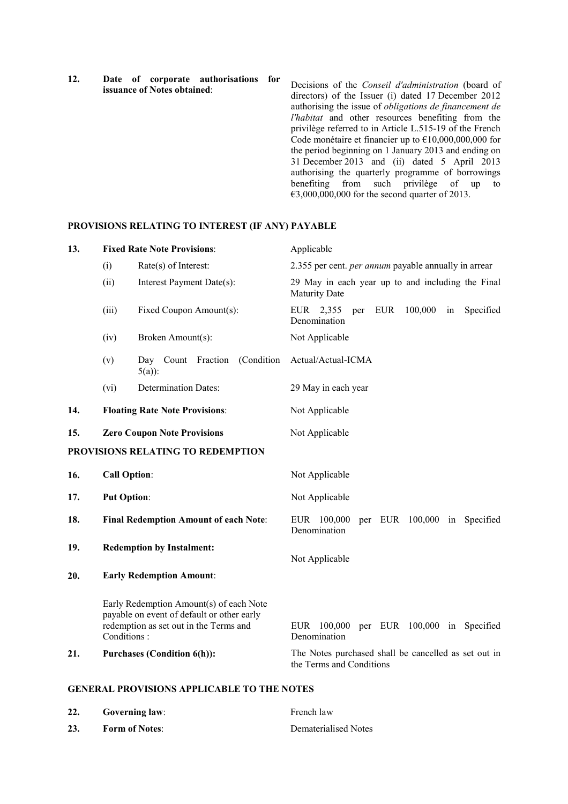**12. Date of corporate authorisations for issuance of Notes obtained**:

Decisions of the *Conseil d'administration* (board of directors) of the Issuer (i) dated 17 December 2012 authorising the issue of *obligations de financement de l'habitat* and other resources benefiting from the privilège referred to in Article L.515-19 of the French Code monétaire et financier up to €10,000,000,000 for the period beginning on 1 January 2013 and ending on 31 December 2013 and (ii) dated 5 April 2013 authorising the quarterly programme of borrowings benefiting from such privilège of up to  $\epsilon$ 3,000,000,000 for the second quarter of 2013.

### **PROVISIONS RELATING TO INTEREST (IF ANY) PAYABLE**

| 13. |                     | <b>Fixed Rate Note Provisions:</b>                                                                                              | Applicable                                                                       |
|-----|---------------------|---------------------------------------------------------------------------------------------------------------------------------|----------------------------------------------------------------------------------|
|     | (i)                 | Rate(s) of Interest:                                                                                                            | 2.355 per cent. <i>per annum</i> payable annually in arrear                      |
|     | (ii)                | Interest Payment Date(s):                                                                                                       | 29 May in each year up to and including the Final<br><b>Maturity Date</b>        |
|     | (iii)               | Fixed Coupon Amount(s):                                                                                                         | 100,000<br>Specified<br>EUR 2,355<br><b>EUR</b><br>in<br>per<br>Denomination     |
|     | (iv)                | Broken Amount(s):                                                                                                               | Not Applicable                                                                   |
|     | (v)                 | (Condition<br>Day Count Fraction<br>$5(a)$ :                                                                                    | Actual/Actual-ICMA                                                               |
|     | (vi)                | <b>Determination Dates:</b>                                                                                                     | 29 May in each year                                                              |
| 14. |                     | <b>Floating Rate Note Provisions:</b>                                                                                           | Not Applicable                                                                   |
| 15. |                     | <b>Zero Coupon Note Provisions</b>                                                                                              | Not Applicable                                                                   |
|     |                     | PROVISIONS RELATING TO REDEMPTION                                                                                               |                                                                                  |
| 16. | <b>Call Option:</b> |                                                                                                                                 | Not Applicable                                                                   |
| 17. | <b>Put Option:</b>  |                                                                                                                                 | Not Applicable                                                                   |
| 18. |                     | <b>Final Redemption Amount of each Note:</b>                                                                                    | per EUR 100,000<br>EUR 100,000<br>in Specified<br>Denomination                   |
| 19. |                     | <b>Redemption by Instalment:</b>                                                                                                | Not Applicable                                                                   |
| 20. |                     | <b>Early Redemption Amount:</b>                                                                                                 |                                                                                  |
|     | Conditions:         | Early Redemption Amount(s) of each Note<br>payable on event of default or other early<br>redemption as set out in the Terms and | per EUR 100,000 in Specified<br>EUR 100,000<br>Denomination                      |
| 21. |                     | <b>Purchases (Condition 6(h)):</b>                                                                                              | The Notes purchased shall be cancelled as set out in<br>the Terms and Conditions |
|     |                     |                                                                                                                                 |                                                                                  |

#### **GENERAL PROVISIONS APPLICABLE TO THE NOTES**

| 22. | <b>Governing law:</b> | French law           |
|-----|-----------------------|----------------------|
| 23. | <b>Form of Notes:</b> | Dematerialised Notes |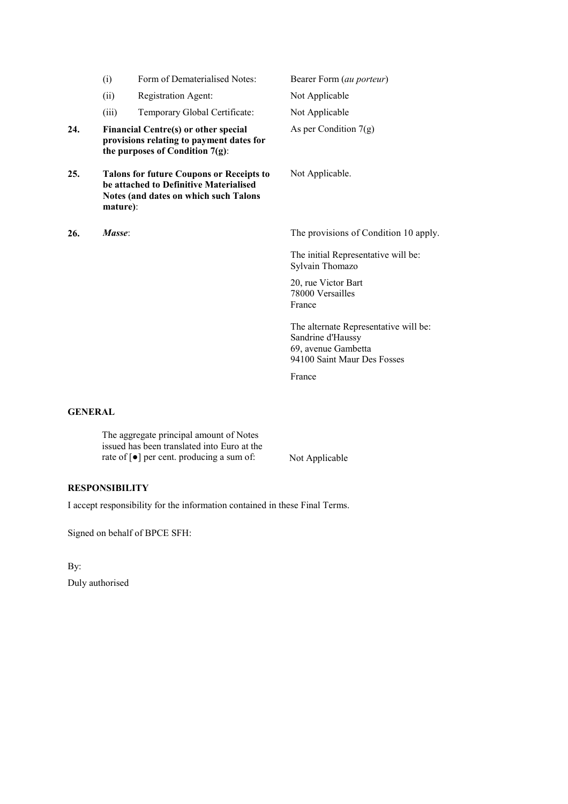|     | (i)      | Form of Dematerialised Notes:                                                                                                      | Bearer Form (au porteur)                                                                                         |
|-----|----------|------------------------------------------------------------------------------------------------------------------------------------|------------------------------------------------------------------------------------------------------------------|
|     | (ii)     | <b>Registration Agent:</b>                                                                                                         | Not Applicable                                                                                                   |
|     | (iii)    | Temporary Global Certificate:                                                                                                      | Not Applicable                                                                                                   |
| 24. |          | Financial Centre(s) or other special<br>provisions relating to payment dates for<br>the purposes of Condition $7(g)$ :             | As per Condition $7(g)$                                                                                          |
| 25. | mature): | <b>Talons for future Coupons or Receipts to</b><br>be attached to Definitive Materialised<br>Notes (and dates on which such Talons | Not Applicable.                                                                                                  |
| 26. | Masse:   |                                                                                                                                    | The provisions of Condition 10 apply.                                                                            |
|     |          |                                                                                                                                    | The initial Representative will be:<br>Sylvain Thomazo                                                           |
|     |          |                                                                                                                                    | 20, rue Victor Bart<br>78000 Versailles<br>France                                                                |
|     |          |                                                                                                                                    | The alternate Representative will be:<br>Sandrine d'Haussy<br>69, avenue Gambetta<br>94100 Saint Maur Des Fosses |
|     |          |                                                                                                                                    | France                                                                                                           |
|     |          |                                                                                                                                    |                                                                                                                  |

# **GENERAL**

The aggregate principal amount of Notes issued has been translated into Euro at the rate of [ $\bullet$ ] per cent. producing a sum of: Not Applicable

# **RESPONSIBILITY**

I accept responsibility for the information contained in these Final Terms.

Signed on behalf of BPCE SFH:

By: Duly authorised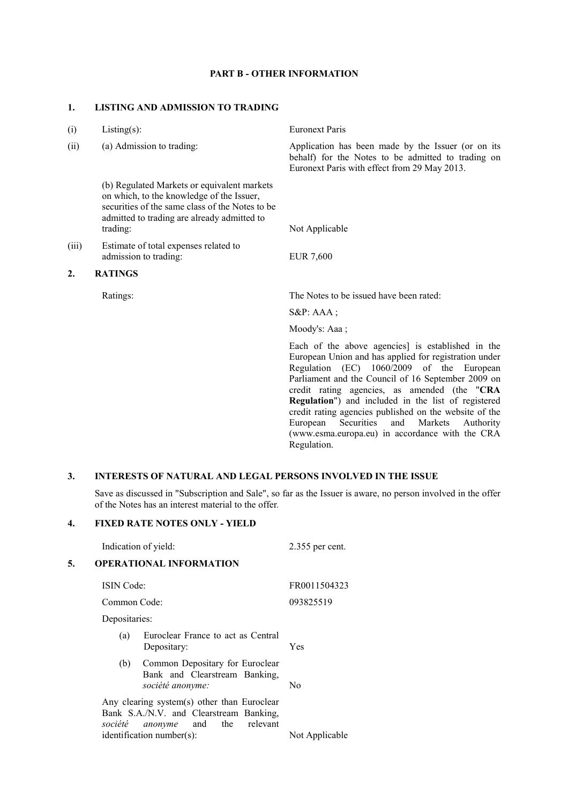### **PART B - OTHER INFORMATION**

#### **1. LISTING AND ADMISSION TO TRADING**

| (i)              | Listing $(s)$ :                                                                                                                                                                                        | <b>Euronext Paris</b>                                                                                                                                                                                                                                                                                                |
|------------------|--------------------------------------------------------------------------------------------------------------------------------------------------------------------------------------------------------|----------------------------------------------------------------------------------------------------------------------------------------------------------------------------------------------------------------------------------------------------------------------------------------------------------------------|
| (ii)             | (a) Admission to trading:                                                                                                                                                                              | Application has been made by the Issuer (or on its<br>behalf) for the Notes to be admitted to trading on<br>Euronext Paris with effect from 29 May 2013.                                                                                                                                                             |
|                  | (b) Regulated Markets or equivalent markets<br>on which, to the knowledge of the Issuer,<br>securities of the same class of the Notes to be<br>admitted to trading are already admitted to<br>trading: | Not Applicable                                                                                                                                                                                                                                                                                                       |
| (iii)            | Estimate of total expenses related to<br>admission to trading:                                                                                                                                         | <b>EUR 7,600</b>                                                                                                                                                                                                                                                                                                     |
| $\overline{2}$ . | <b>RATINGS</b>                                                                                                                                                                                         |                                                                                                                                                                                                                                                                                                                      |
|                  | Ratings:                                                                                                                                                                                               | The Notes to be issued have been rated:                                                                                                                                                                                                                                                                              |
|                  |                                                                                                                                                                                                        | $S\&P: AAA;$                                                                                                                                                                                                                                                                                                         |
|                  |                                                                                                                                                                                                        | Moody's: Aaa;                                                                                                                                                                                                                                                                                                        |
|                  |                                                                                                                                                                                                        | Each of the above agencies] is established in the<br>European Union and has applied for registration under<br>Regulation (EC) 1060/2009 of the European<br>Parliament and the Council of 16 September 2009 on<br>credit rating agencies, as amended (the "CRA<br>Regulation") and included in the list of registered |

# **3. INTERESTS OF NATURAL AND LEGAL PERSONS INVOLVED IN THE ISSUE**

Save as discussed in "Subscription and Sale", so far as the Issuer is aware, no person involved in the offer of the Notes has an interest material to the offer*.*

Regulation.

credit rating agencies published on the website of the European Securities and Markets Authority (www.esma.europa.eu) in accordance with the CRA

### **4. FIXED RATE NOTES ONLY - YIELD**

|    | Indication of yield:                                                                                                      | 2.355 per cent. |
|----|---------------------------------------------------------------------------------------------------------------------------|-----------------|
| 5. | <b>OPERATIONAL INFORMATION</b>                                                                                            |                 |
|    | <b>ISIN</b> Code:                                                                                                         | FR0011504323    |
|    | Common Code:                                                                                                              | 093825519       |
|    | Depositaries:                                                                                                             |                 |
|    | Euroclear France to act as Central<br>(a)<br>Depositary:                                                                  | Yes             |
|    | Common Depositary for Euroclear<br>(b)<br>Bank and Clearstream Banking,<br>société anonyme:                               | No              |
|    | Any clearing system(s) other than Euroclear<br>Bank S.A./N.V. and Clearstream Banking,<br>société groupe and the relevant |                 |

*société anonyme* and the relevant identification number(s): Not Applicable